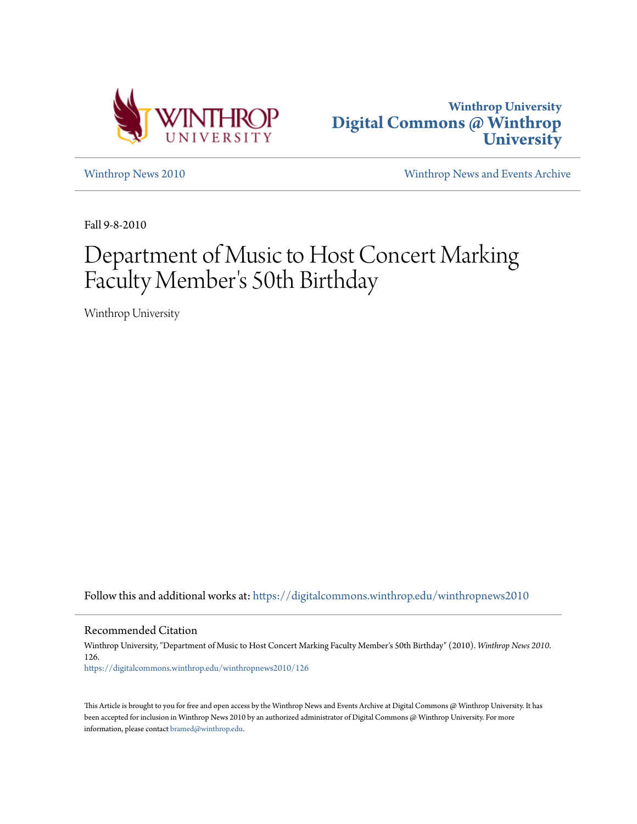



[Winthrop News 2010](https://digitalcommons.winthrop.edu/winthropnews2010?utm_source=digitalcommons.winthrop.edu%2Fwinthropnews2010%2F126&utm_medium=PDF&utm_campaign=PDFCoverPages) [Winthrop News and Events Archive](https://digitalcommons.winthrop.edu/winthropnewsarchives?utm_source=digitalcommons.winthrop.edu%2Fwinthropnews2010%2F126&utm_medium=PDF&utm_campaign=PDFCoverPages)

Fall 9-8-2010

# Department of Music to Host Concert Marking Faculty Member 's 50th Birthday

Winthrop University

Follow this and additional works at: [https://digitalcommons.winthrop.edu/winthropnews2010](https://digitalcommons.winthrop.edu/winthropnews2010?utm_source=digitalcommons.winthrop.edu%2Fwinthropnews2010%2F126&utm_medium=PDF&utm_campaign=PDFCoverPages)

Recommended Citation

Winthrop University, "Department of Music to Host Concert Marking Faculty Member's 50th Birthday" (2010). *Winthrop News 2010*. 126. [https://digitalcommons.winthrop.edu/winthropnews2010/126](https://digitalcommons.winthrop.edu/winthropnews2010/126?utm_source=digitalcommons.winthrop.edu%2Fwinthropnews2010%2F126&utm_medium=PDF&utm_campaign=PDFCoverPages)

This Article is brought to you for free and open access by the Winthrop News and Events Archive at Digital Commons @ Winthrop University. It has been accepted for inclusion in Winthrop News 2010 by an authorized administrator of Digital Commons @ Winthrop University. For more information, please contact [bramed@winthrop.edu](mailto:bramed@winthrop.edu).